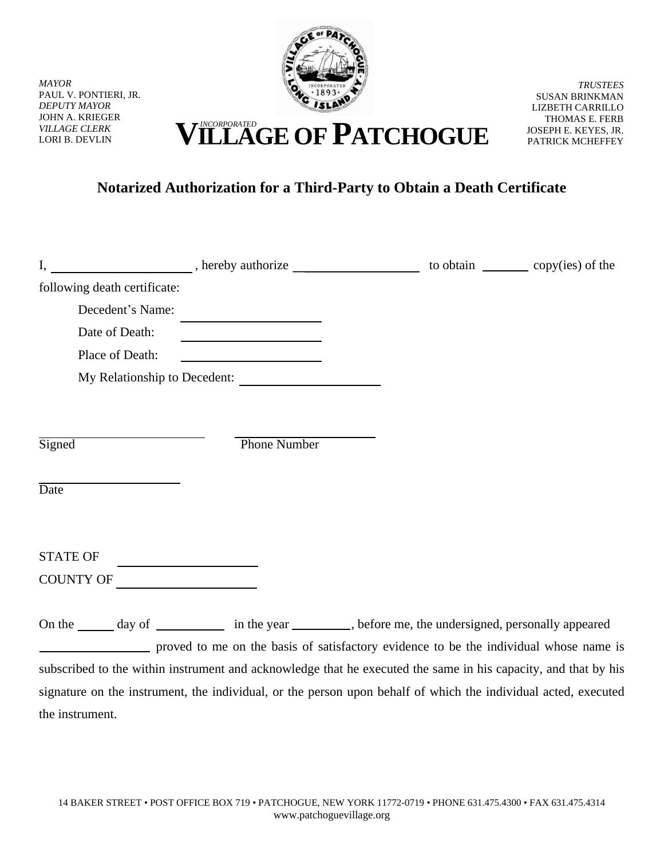

*MAYOR* PAUL V. PONTIERI, JR. *DEPUTY MAYOR* JOHN A. KRIEGER *VILLAGE CLERK*

the instrument.

*TRUSTEES* SUSAN BRINKMAN LIZBETH CARRILLO THOMAS E. FERB JOSEPH E. KEYES, JR. PATRICK MCHEFFEY

## VILLAGE CLERK **VILLAGE CLERK VILLAGE OF PATCHOGUE**

## **Notarized Authorization for a Third-Party to Obtain a Death Certificate**

| following death certificate: |                              |                                                                                                                |  |
|------------------------------|------------------------------|----------------------------------------------------------------------------------------------------------------|--|
| Decedent's Name:             |                              |                                                                                                                |  |
| Date of Death:               |                              |                                                                                                                |  |
| Place of Death:              |                              |                                                                                                                |  |
|                              | My Relationship to Decedent: |                                                                                                                |  |
|                              |                              |                                                                                                                |  |
|                              |                              |                                                                                                                |  |
| Signed                       | <b>Phone Number</b>          |                                                                                                                |  |
|                              |                              |                                                                                                                |  |
| Date                         |                              |                                                                                                                |  |
|                              |                              |                                                                                                                |  |
|                              |                              |                                                                                                                |  |
| <b>STATE OF</b>              |                              |                                                                                                                |  |
| COUNTY OF                    |                              |                                                                                                                |  |
|                              |                              |                                                                                                                |  |
|                              |                              | On the _______ day of ______________ in the year _________, before me, the undersigned, personally appeared    |  |
|                              |                              | proved to me on the basis of satisfactory evidence to be the individual whose name is                          |  |
|                              |                              | subscribed to the within instrument and acknowledge that he executed the same in his capacity, and that by his |  |
|                              |                              | signature on the instrument, the individual, or the person upon behalf of which the individual acted, executed |  |